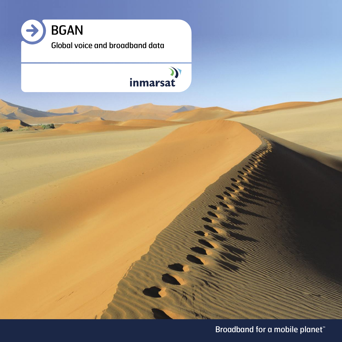

### (C<br>inmarsat

Broadband for a mobile planet<sup>™</sup>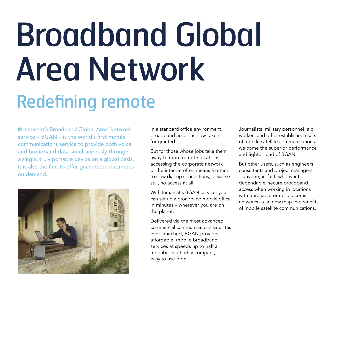# Broadband Global Area Network Redefining remote

 Inmarsat's Broadband Global Area Network service – BGAN – is the world's first mobile communications service to provide both voice and broadband data simultaneously through a single, truly portable device on a global basis. It is also the first to offer guaranteed data rates on demand.



In a standard office environment, broadband access is now taken for granted.

But for those whose jobs take them away to more remote locations, accessing the corporate network or the internet often means a return to slow dial-up connections, or worse still, no access at all.

With Inmarsat's BGAN service, you can set up a broadband mobile office in minutes – wherever you are on the planet.

Delivered via the most advanced commercial communications satellites ever launched, BGAN provides affordable, mobile broadband services at speeds up to half a megabit in a highly compact, easy to use form.

Journalists, military personnel, aid workers and other established users of mobile satellite communications welcome the superior performance and lighter load of BGAN.

But other users, such as engineers, consultants and project managers – anyone, in fact, who wants dependable, secure broadband access when working in locations with unreliable or no telecoms networks – can now reap the benefits of mobile satellite communications.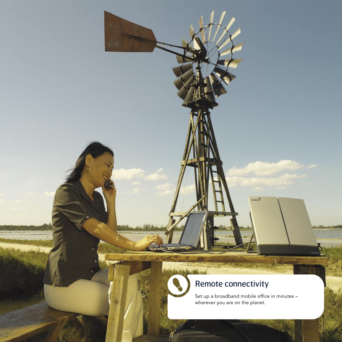### Remote connectivity

**BANKAN HOLLYW** 

Set up a broadband mobile office in minutes – wherever you are on the planet.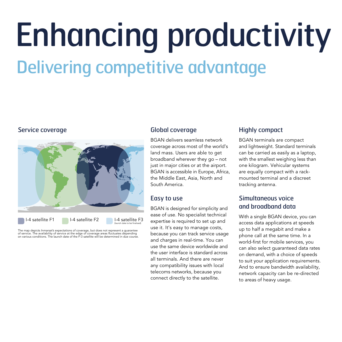## Enhancing productivity Delivering competitive advantage

#### Service coverage



The map depicts Inmarsat's expectations of coverage, but does not represent a guarantee<br>of service. The availability of service at the edge of coverage areas fluctuates depending<br>on various conditions. The launch date of t

#### Global coverage

BGAN delivers seamless network coverage across most of the world's land mass. Users are able to get broadband wherever they go – not just in major cities or at the airport. BGAN is accessible in Europe, Africa, the Middle East, Asia, North and South America.

#### Easy to use

BGAN is designed for simplicity and ease of use. No specialist technical expertise is required to set up and use it. It's easy to manage costs, because you can track service usage and charges in real-time. You can use the same device worldwide and the user interface is standard across all terminals. And there are never any compatibility issues with local telecoms networks, because you connect directly to the satellite.

#### Highly compact

BGAN terminals are compact and lightweight. Standard terminals can be carried as easily as a laptop, with the smallest weighing less than one kilogram. Vehicular systems are equally compact with a rackmounted terminal and a discreet tracking antenna.

#### Simultaneous voice and broadband data

With a single BGAN device, you can access data applications at speeds up to half a megabit and make a phone call at the same time. In a world-first for mobile services, you can also select guaranteed data rates on demand, with a choice of speeds to suit your application requirements. And to ensure bandwidth availability, network capacity can be re-directed to areas of heavy usage.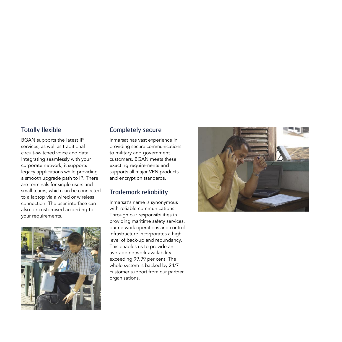#### Totally flexible

BGAN supports the latest IP services, as well as traditional circuit-switched voice and data. Integrating seamlessly with your corporate network, it supports legacy applications while providing a smooth upgrade path to IP. There are terminals for single users and small teams, which can be connected to a laptop via a wired or wireless connection. The user interface can also be customised according to your requirements.



#### Completely secure

Inmarsat has vast experience in providing secure communications to military and government customers. BGAN meets these exacting requirements and supports all major VPN products and encryption standards.

#### Trademark reliability

Inmarsat's name is synonymous with reliable communications. Through our responsibilities in providing maritime safety services, our network operations and control infrastructure incorporates a high level of back-up and redundancy. This enables us to provide an average network availability exceeding 99.99 per cent. The whole system is backed by 24/7 customer support from our partner organisations.

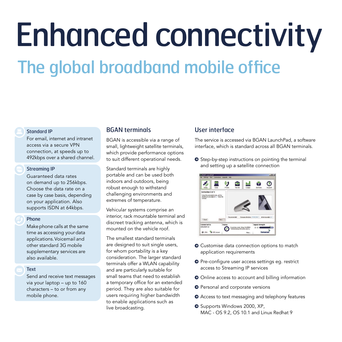# Enhanced connectivity The global broadband mobile office

#### Standard IP

For email, internet and intranet access via a secure VPN connection, at speeds up to 492kbps over a shared channel.

#### Streaming IP

Guaranteed data rates on demand up to 256kbps. Choose the data rate on a case by case basis, depending on your application. Also supports ISDN at 64kbps.

#### Phone

Make phone calls at the same time as accessing your data applications. Voicemail and other standard 3G mobile supplementary services are also available.

#### Text

Send and receive text messages via your laptop – up to 160 characters – to or from any mobile phone.

#### BGAN terminals

BGAN is accessible via a range of small, lightweight satellite terminals, which provide performance options to suit different operational needs.

Standard terminals are highly portable and can be used both indoors and outdoors, being robust enough to withstand challenging environments and extremes of temperature.

Vehicular systems comprise an interior, rack mountable terminal and discreet tracking antenna, which is mounted on the vehicle roof.

The smallest standard terminals are designed to suit single users, for whom portability is a key consideration. The larger standard terminals offer a WLAN capability and are particularly suitable for small teams that need to establish a temporary office for an extended period. They are also suitable for users requiring higher bandwidth to enable applications such as live broadcasting.

#### User interface

The service is accessed via BGAN LaunchPad, a software interface, which is standard across all BGAN terminals.

**O** Step-by-step instructions on pointing the terminal and setting up a satellite connection



- **O** Customise data connection options to match application requirements
- **O** Pre-configure user access settings eg. restrict access to Streaming IP services
- Online access to account and billing information
- **O** Personal and corporate versions
- Access to text messaging and telephony features
- <sup>O</sup> Supports Windows 2000, XP, MAC - OS 9.2, OS 10.1 and Linux Redhat 9